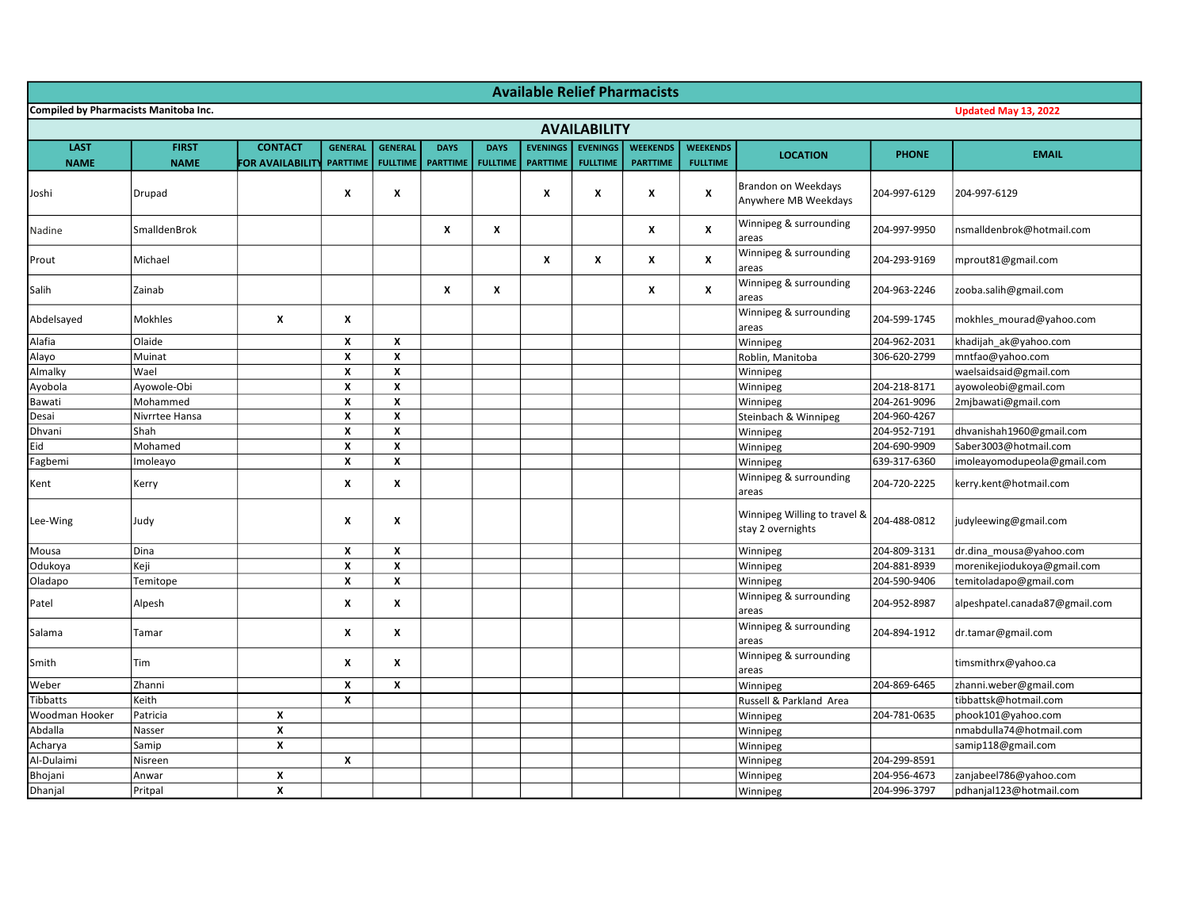| <b>Available Relief Pharmacists</b>   |                |                         |                  |                  |                 |                           |                 |                  |                 |                    |                                                   |                      |                                |
|---------------------------------------|----------------|-------------------------|------------------|------------------|-----------------|---------------------------|-----------------|------------------|-----------------|--------------------|---------------------------------------------------|----------------------|--------------------------------|
| Compiled by Pharmacists Manitoba Inc. |                |                         |                  |                  |                 |                           |                 |                  |                 |                    |                                                   | Updated May 13, 2022 |                                |
| <b>AVAILABILITY</b>                   |                |                         |                  |                  |                 |                           |                 |                  |                 |                    |                                                   |                      |                                |
| <b>LAST</b>                           | <b>FIRST</b>   | <b>CONTACT</b>          | <b>GENERAL</b>   | <b>GENERAL</b>   | <b>DAYS</b>     | <b>DAYS</b>               | <b>EVENINGS</b> | <b>EVENINGS</b>  | <b>WEEKENDS</b> | <b>WEEKENDS</b>    |                                                   | <b>PHONE</b>         |                                |
| <b>NAME</b>                           | <b>NAME</b>    | <b>FOR AVAILABILIT</b>  | <b>PARTTIME</b>  | <b>FULLTIME</b>  | <b>PARTTIMI</b> | <b>FULLTIME</b>           | <b>PARTTIME</b> | <b>FULLTIME</b>  | <b>PARTTIME</b> | <b>FULLTIME</b>    | <b>LOCATION</b>                                   |                      | <b>EMAIL</b>                   |
| Joshi                                 | Drupad         |                         | X                | X                |                 |                           | X               | X                | X               | X                  | Brandon on Weekdays<br>Anywhere MB Weekdays       | 204-997-6129         | 204-997-6129                   |
| Nadine                                | SmalldenBrok   |                         |                  |                  | X               | $\boldsymbol{\mathsf{x}}$ |                 |                  | X               | X                  | Winnipeg & surrounding<br>areas                   | 204-997-9950         | nsmalldenbrok@hotmail.com      |
| Prout                                 | Michael        |                         |                  |                  |                 |                           | X               | $\boldsymbol{x}$ | X               | X                  | Winnipeg & surrounding<br>areas                   | 204-293-9169         | mprout81@gmail.com             |
| Salih                                 | <b>Zainab</b>  |                         |                  |                  | $\mathbf{x}$    | $\pmb{\times}$            |                 |                  | X               | $\pmb{\mathsf{x}}$ | Winnipeg & surrounding<br>areas                   | 204-963-2246         | zooba.salih@gmail.com          |
| Abdelsayed                            | Mokhles        | $\boldsymbol{x}$        | X                |                  |                 |                           |                 |                  |                 |                    | Winnipeg & surrounding<br>areas                   | 204-599-1745         | mokhles mourad@yahoo.com       |
| Alafia                                | Olaide         |                         | X                | X                |                 |                           |                 |                  |                 |                    | Winnipeg                                          | 204-962-2031         | khadijah ak@yahoo.com          |
| Alayo                                 | Muinat         |                         | X                | $\boldsymbol{x}$ |                 |                           |                 |                  |                 |                    | Roblin, Manitoba                                  | 306-620-2799         | mntfao@yahoo.com               |
| Almalky                               | Wael           |                         | X                | X                |                 |                           |                 |                  |                 |                    | Winnipeg                                          |                      | waelsaidsaid@gmail.com         |
| Ayobola                               | Ayowole-Obi    |                         | X                | X                |                 |                           |                 |                  |                 |                    | Winnipeg                                          | 204-218-8171         | ayowoleobi@gmail.com           |
| Bawati                                | Mohammed       |                         | X                | X                |                 |                           |                 |                  |                 |                    | Winnipeg                                          | 204-261-9096         | 2mjbawati@gmail.com            |
| Desai                                 | Nivrrtee Hansa |                         | X                | X                |                 |                           |                 |                  |                 |                    | Steinbach & Winnipeg                              | 204-960-4267         |                                |
| Dhvani                                | <b>Shah</b>    |                         | $\pmb{\times}$   | X                |                 |                           |                 |                  |                 |                    | Winnipeg                                          | 204-952-7191         | dhvanishah1960@gmail.com       |
| Eid                                   | Mohamed        |                         | X                | X                |                 |                           |                 |                  |                 |                    | Winnipeg                                          | 204-690-9909         | Saber3003@hotmail.com          |
| Fagbemi                               | Imoleayo       |                         | $\pmb{\times}$   | X                |                 |                           |                 |                  |                 |                    | Winnipeg                                          | 639-317-6360         | imoleayomodupeola@gmail.com    |
| Kent                                  | Kerry          |                         | X                | X                |                 |                           |                 |                  |                 |                    | Winnipeg & surrounding<br>areas                   | 204-720-2225         | kerry.kent@hotmail.com         |
| Lee-Wing                              | Judy           |                         | X                | X                |                 |                           |                 |                  |                 |                    | Winnipeg Willing to travel &<br>stay 2 overnights | 204-488-0812         | judyleewing@gmail.com          |
| Mousa                                 | Dina           |                         | $\boldsymbol{x}$ | $\mathsf{x}$     |                 |                           |                 |                  |                 |                    | Winnipeg                                          | 204-809-3131         | dr.dina_mousa@yahoo.com        |
| Odukoya                               | Keji           |                         | $\boldsymbol{x}$ | X                |                 |                           |                 |                  |                 |                    | Winnipeg                                          | 204-881-8939         | morenikejiodukoya@gmail.com    |
| Oladapo                               | Temitope       |                         | X                | X                |                 |                           |                 |                  |                 |                    | Winnipeg                                          | 204-590-9406         | temitoladapo@gmail.com         |
| Patel                                 | Alpesh         |                         | X                | X                |                 |                           |                 |                  |                 |                    | Winnipeg & surrounding<br>areas                   | 204-952-8987         | alpeshpatel.canada87@gmail.com |
| Salama                                | Tamar          |                         | X                | X                |                 |                           |                 |                  |                 |                    | Winnipeg & surrounding<br>areas                   | 204-894-1912         | dr.tamar@gmail.com             |
| Smith                                 | Tim            |                         | X                | X                |                 |                           |                 |                  |                 |                    | Winnipeg & surrounding<br>areas                   |                      | timsmithrx@yahoo.ca            |
| Weber                                 | Zhanni         |                         | $\boldsymbol{x}$ | $\boldsymbol{x}$ |                 |                           |                 |                  |                 |                    | Winnipeg                                          | 204-869-6465         | zhanni.weber@gmail.com         |
| Tibbatts                              | Keith          |                         | $\mathbf{x}$     |                  |                 |                           |                 |                  |                 |                    | Russell & Parkland Area                           |                      | tibbattsk@hotmail.com          |
| Woodman Hooker                        | Patricia       | $\pmb{\chi}$            |                  |                  |                 |                           |                 |                  |                 |                    | Winnipeg                                          | 204-781-0635         | phook101@yahoo.com             |
| Abdalla                               | Nasser         | $\overline{\mathbf{x}}$ |                  |                  |                 |                           |                 |                  |                 |                    | Winnipeg                                          |                      | nmabdulla74@hotmail.com        |
| Acharya                               | Samip          | $\pmb{\chi}$            |                  |                  |                 |                           |                 |                  |                 |                    | Winnipeg                                          |                      | samip118@gmail.com             |
| Al-Dulaimi                            | Nisreen        |                         | X                |                  |                 |                           |                 |                  |                 |                    | Winnipeg                                          | 204-299-8591         |                                |
| Bhojani                               | Anwar          | $\pmb{\mathsf{x}}$      |                  |                  |                 |                           |                 |                  |                 |                    | Winnipeg                                          | 204-956-4673         | zanjabeel786@yahoo.com         |
| Dhanjal                               | Pritpal        | $\pmb{\chi}$            |                  |                  |                 |                           |                 |                  |                 |                    | Winnipeg                                          | 204-996-3797         | pdhanjal123@hotmail.com        |